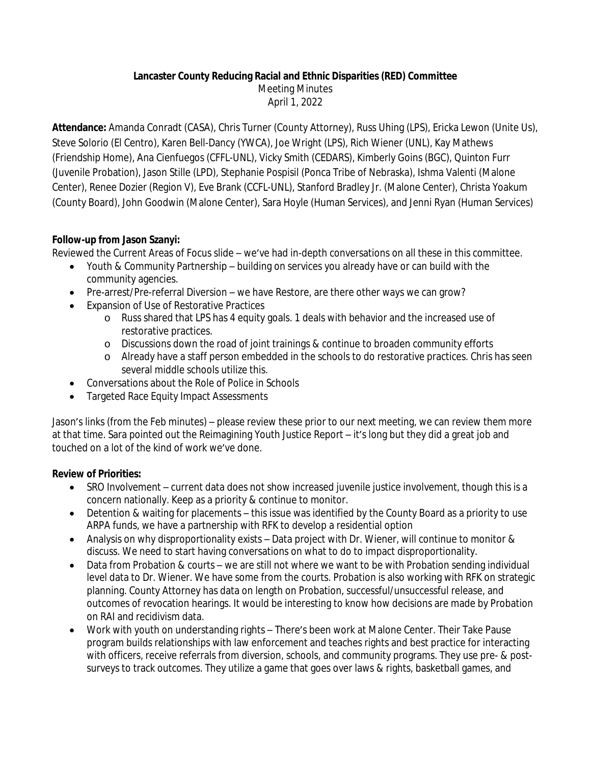### **Lancaster County Reducing Racial and Ethnic Disparities (RED) Committee**

Meeting Minutes

April 1, 2022

**Attendance:** Amanda Conradt (CASA), Chris Turner (County Attorney), Russ Uhing (LPS), Ericka Lewon (Unite Us), Steve Solorio (El Centro), Karen Bell-Dancy (YWCA), Joe Wright (LPS), Rich Wiener (UNL), Kay Mathews (Friendship Home), Ana Cienfuegos (CFFL-UNL), Vicky Smith (CEDARS), Kimberly Goins (BGC), Quinton Furr (Juvenile Probation), Jason Stille (LPD), Stephanie Pospisil (Ponca Tribe of Nebraska), Ishma Valenti (Malone Center), Renee Dozier (Region V), Eve Brank (CCFL-UNL), Stanford Bradley Jr. (Malone Center), Christa Yoakum (County Board), John Goodwin (Malone Center), Sara Hoyle (Human Services), and Jenni Ryan (Human Services)

# **Follow-up from Jason Szanyi:**

Reviewed the Current Areas of Focus slide – we've had in-depth conversations on all these in this committee.

- Youth & Community Partnership building on services you already have or can build with the community agencies.
- Pre-arrest/Pre-referral Diversion we have Restore, are there other ways we can grow?
- Expansion of Use of Restorative Practices
	- o Russ shared that LPS has 4 equity goals. 1 deals with behavior and the increased use of restorative practices.
	- o Discussions down the road of joint trainings & continue to broaden community efforts
	- o Already have a staff person embedded in the schools to do restorative practices. Chris has seen several middle schools utilize this.
- Conversations about the Role of Police in Schools
- Targeted Race Equity Impact Assessments

Jason's links (from the Feb minutes) – please review these prior to our next meeting, we can review them more at that time. Sara pointed out the Reimagining Youth Justice Report – it's long but they did a great job and touched on a lot of the kind of work we've done.

# **Review of Priorities:**

- SRO Involvement current data does not show increased juvenile justice involvement, though this is a concern nationally. Keep as a priority & continue to monitor.
- Detention & waiting for placements this issue was identified by the County Board as a priority to use ARPA funds, we have a partnership with RFK to develop a residential option
- Analysis on why disproportionality exists Data project with Dr. Wiener, will continue to monitor & discuss. We need to start having conversations on what to do to impact disproportionality.
- Data from Probation & courts we are still not where we want to be with Probation sending individual level data to Dr. Wiener. We have some from the courts. Probation is also working with RFK on strategic planning. County Attorney has data on length on Probation, successful/unsuccessful release, and outcomes of revocation hearings. It would be interesting to know how decisions are made by Probation on RAI and recidivism data.
- Work with youth on understanding rights There's been work at Malone Center. Their Take Pause program builds relationships with law enforcement and teaches rights and best practice for interacting with officers, receive referrals from diversion, schools, and community programs. They use pre- & postsurveys to track outcomes. They utilize a game that goes over laws & rights, basketball games, and